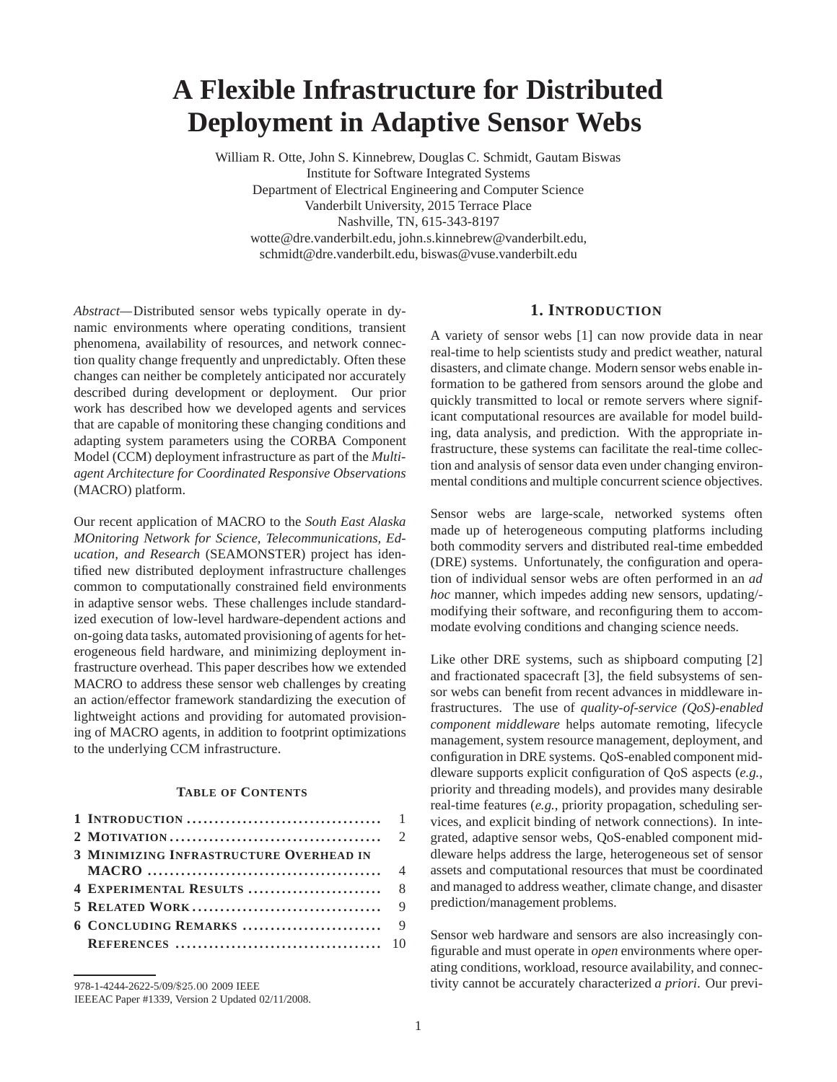# **A Flexible Infrastructure for Distributed Deployment in Adaptive Sensor Webs.**

William R. Otte, John S. Kinnebrew, Douglas C. Schmidt, Gautam Biswas Institute for Software Integrated Systems Department of Electrical Engineering and Computer Science Vanderbilt University, 2015 Terrace Place Nashville, TN, 615-343-8197 wotte@dre.vanderbilt.edu, john.s.kinnebrew@vanderbilt.edu, schmidt@dre.vanderbilt.edu, biswas@vuse.vanderbilt.edu

*Abstract—*Distributed sensor webs typically operate in dynamic environments where operating conditions, transient phenomena, availability of resources, and network connection quality change frequently and unpredictably. Often these changes can neither be completely anticipated nor accurately described during development or deployment. Our prior work has described how we developed agents and services that are capable of monitoring these changing conditions and adapting system parameters using the CORBA Component Model (CCM) deployment infrastructure as part of the *Multiagent Architecture for Coordinated Responsive Observations* (MACRO) platform.

Our recent application of MACRO to the *South East Alaska MOnitoring Network for Science, Telecommunications, Education, and Research* (SEAMONSTER) project has identified new distributed deployment infrastructure challenges common to computationally constrained field environments in adaptive sensor webs. These challenges include standardized execution of low-level hardware-dependent actions and on-going data tasks, automated provisioning of agents for heterogeneous field hardware, and minimizing deployment infrastructure overhead. This paper describes how we extended MACRO to address these sensor web challenges by creating an action/effector framework standardizing the execution of lightweight actions and providing for automated provisioning of MACRO agents, in addition to footprint optimizations to the underlying CCM infrastructure.

#### **TABLE OF CONTENTS**

| <b>3 MINIMIZING INFRASTRUCTURE OVERHEAD IN</b> |  |
|------------------------------------------------|--|
|                                                |  |
|                                                |  |
|                                                |  |
|                                                |  |
|                                                |  |

IEEEAC Paper #1339, Version 2 Updated 02/11/2008.

# **1. INTRODUCTION**

A variety of sensor webs [1] can now provide data in near real-time to help scientists study and predict weather, natural disasters, and climate change. Modern sensor webs enable information to be gathered from sensors around the globe and quickly transmitted to local or remote servers where significant computational resources are available for model building, data analysis, and prediction. With the appropriate infrastructure, these systems can facilitate the real-time collection and analysis of sensor data even under changing environmental conditions and multiple concurrent science objectives.

Sensor webs are large-scale, networked systems often made up of heterogeneous computing platforms including both commodity servers and distributed real-time embedded (DRE) systems. Unfortunately, the configuration and operation of individual sensor webs are often performed in an *ad hoc* manner, which impedes adding new sensors, updating/ modifying their software, and reconfiguring them to accommodate evolving conditions and changing science needs.

Like other DRE systems, such as shipboard computing [2] and fractionated spacecraft [3], the field subsystems of sensor webs can benefit from recent advances in middleware infrastructures. The use of *quality-of-service (QoS)-enabled component middleware* helps automate remoting, lifecycle management, system resource management, deployment, and configuration in DRE systems. QoS-enabled component middleware supports explicit configuration of QoS aspects (*e.g.*, priority and threading models), and provides many desirable real-time features (*e.g.*, priority propagation, scheduling services, and explicit binding of network connections). In integrated, adaptive sensor webs, QoS-enabled component middleware helps address the large, heterogeneous set of sensor assets and computational resources that must be coordinated and managed to address weather, climate change, and disaster prediction/management problems.

Sensor web hardware and sensors are also increasingly configurable and must operate in *open* environments where operating conditions, workload, resource availability, and connectivity cannot be accurately characterized *a priori*. Our previ-

<sup>978-1-4244-2622-5/09/</sup>\$25.00 2009 IEEE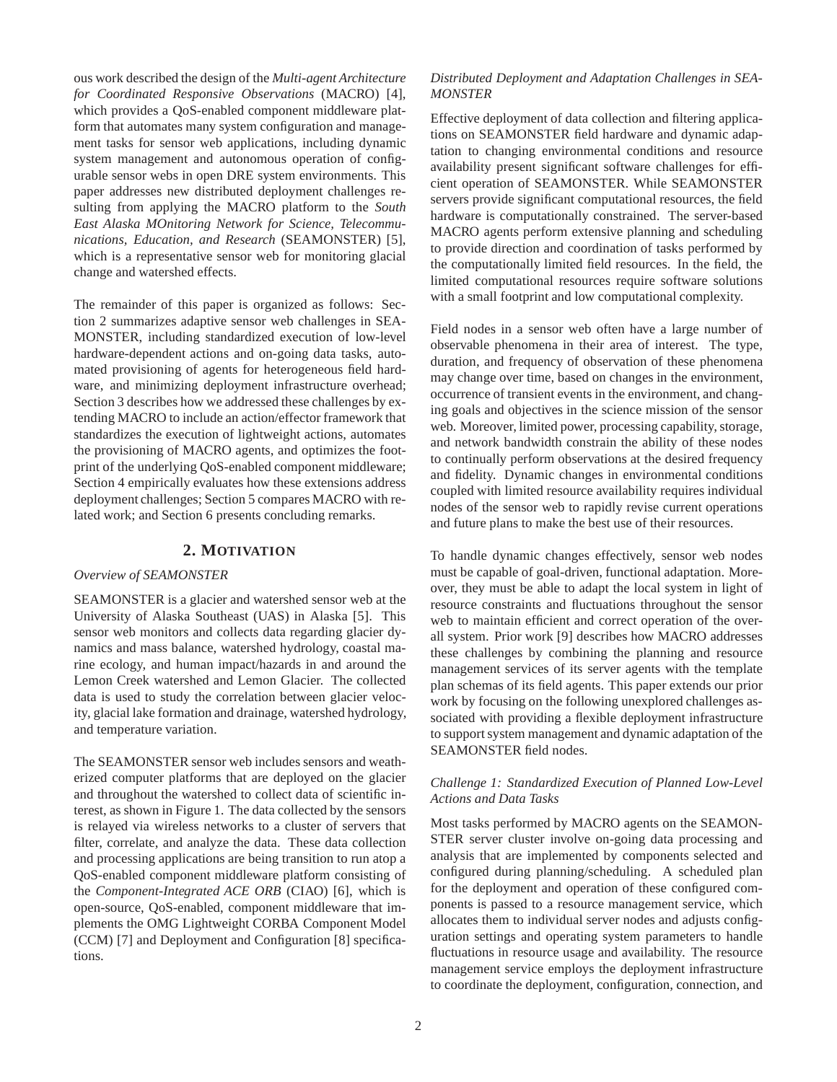ous work described the design of the *Multi-agent Architecture for Coordinated Responsive Observations* (MACRO) [4], which provides a QoS-enabled component middleware platform that automates many system configuration and management tasks for sensor web applications, including dynamic system management and autonomous operation of configurable sensor webs in open DRE system environments. This paper addresses new distributed deployment challenges resulting from applying the MACRO platform to the *South East Alaska MOnitoring Network for Science, Telecommunications, Education, and Research* (SEAMONSTER) [5], which is a representative sensor web for monitoring glacial change and watershed effects.

The remainder of this paper is organized as follows: Section 2 summarizes adaptive sensor web challenges in SEA-MONSTER, including standardized execution of low-level hardware-dependent actions and on-going data tasks, automated provisioning of agents for heterogeneous field hardware, and minimizing deployment infrastructure overhead; Section 3 describes how we addressed these challenges by extending MACRO to include an action/effector framework that standardizes the execution of lightweight actions, automates the provisioning of MACRO agents, and optimizes the footprint of the underlying QoS-enabled component middleware; Section 4 empirically evaluates how these extensions address deployment challenges; Section 5 compares MACRO with related work; and Section 6 presents concluding remarks.

# **2. MOTIVATION**

#### *Overview of SEAMONSTER*

SEAMONSTER is a glacier and watershed sensor web at the University of Alaska Southeast (UAS) in Alaska [5]. This sensor web monitors and collects data regarding glacier dynamics and mass balance, watershed hydrology, coastal marine ecology, and human impact/hazards in and around the Lemon Creek watershed and Lemon Glacier. The collected data is used to study the correlation between glacier velocity, glacial lake formation and drainage, watershed hydrology, and temperature variation.

The SEAMONSTER sensor web includes sensors and weatherized computer platforms that are deployed on the glacier and throughout the watershed to collect data of scientific interest, as shown in Figure 1. The data collected by the sensors is relayed via wireless networks to a cluster of servers that filter, correlate, and analyze the data. These data collection and processing applications are being transition to run atop a QoS-enabled component middleware platform consisting of the *Component-Integrated ACE ORB* (CIAO) [6], which is open-source, QoS-enabled, component middleware that implements the OMG Lightweight CORBA Component Model (CCM) [7] and Deployment and Configuration [8] specifications.

# *Distributed Deployment and Adaptation Challenges in SEA-MONSTER*

Effective deployment of data collection and filtering applications on SEAMONSTER field hardware and dynamic adaptation to changing environmental conditions and resource availability present significant software challenges for efficient operation of SEAMONSTER. While SEAMONSTER servers provide significant computational resources, the field hardware is computationally constrained. The server-based MACRO agents perform extensive planning and scheduling to provide direction and coordination of tasks performed by the computationally limited field resources. In the field, the limited computational resources require software solutions with a small footprint and low computational complexity.

Field nodes in a sensor web often have a large number of observable phenomena in their area of interest. The type, duration, and frequency of observation of these phenomena may change over time, based on changes in the environment, occurrence of transient events in the environment, and changing goals and objectives in the science mission of the sensor web. Moreover, limited power, processing capability, storage, and network bandwidth constrain the ability of these nodes to continually perform observations at the desired frequency and fidelity. Dynamic changes in environmental conditions coupled with limited resource availability requires individual nodes of the sensor web to rapidly revise current operations and future plans to make the best use of their resources.

To handle dynamic changes effectively, sensor web nodes must be capable of goal-driven, functional adaptation. Moreover, they must be able to adapt the local system in light of resource constraints and fluctuations throughout the sensor web to maintain efficient and correct operation of the overall system. Prior work [9] describes how MACRO addresses these challenges by combining the planning and resource management services of its server agents with the template plan schemas of its field agents. This paper extends our prior work by focusing on the following unexplored challenges associated with providing a flexible deployment infrastructure to support system management and dynamic adaptation of the SEAMONSTER field nodes.

# *Challenge 1: Standardized Execution of Planned Low-Level Actions and Data Tasks*

Most tasks performed by MACRO agents on the SEAMON-STER server cluster involve on-going data processing and analysis that are implemented by components selected and configured during planning/scheduling. A scheduled plan for the deployment and operation of these configured components is passed to a resource management service, which allocates them to individual server nodes and adjusts configuration settings and operating system parameters to handle fluctuations in resource usage and availability. The resource management service employs the deployment infrastructure to coordinate the deployment, configuration, connection, and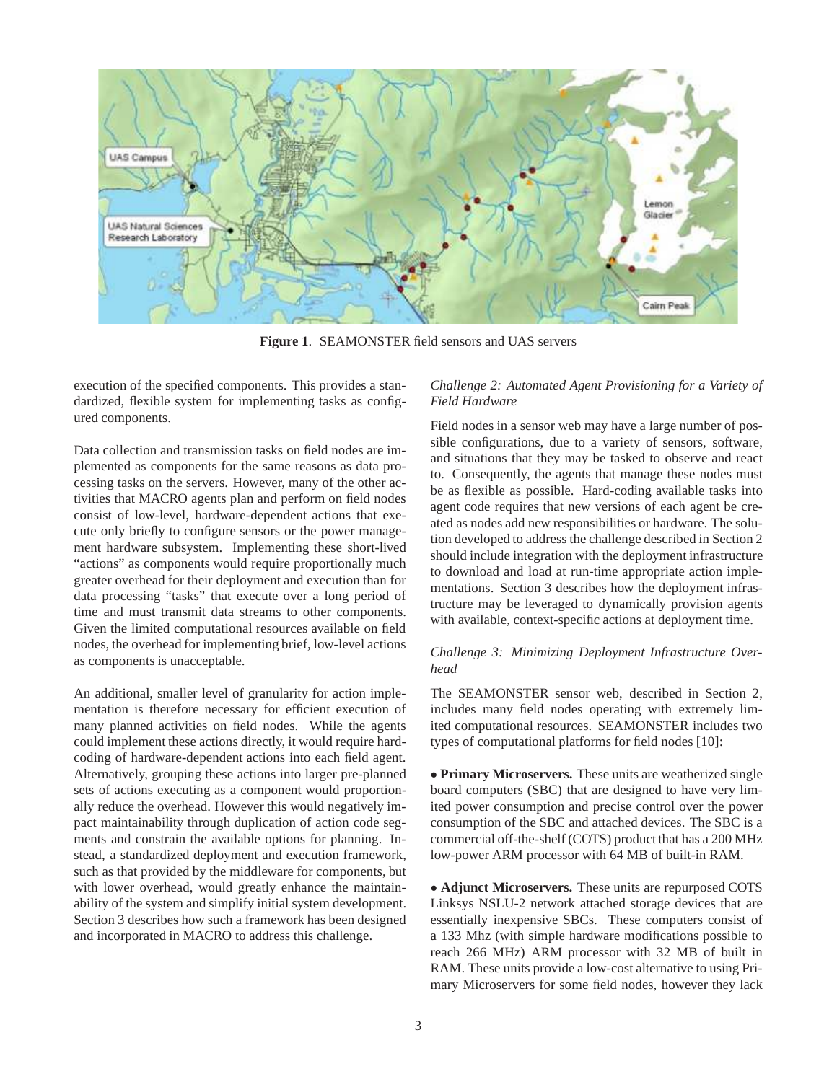

**Figure 1**. SEAMONSTER field sensors and UAS servers

execution of the specified components. This provides a standardized, flexible system for implementing tasks as configured components.

Data collection and transmission tasks on field nodes are implemented as components for the same reasons as data processing tasks on the servers. However, many of the other activities that MACRO agents plan and perform on field nodes consist of low-level, hardware-dependent actions that execute only briefly to configure sensors or the power management hardware subsystem. Implementing these short-lived "actions" as components would require proportionally much greater overhead for their deployment and execution than for data processing "tasks" that execute over a long period of time and must transmit data streams to other components. Given the limited computational resources available on field nodes, the overhead for implementing brief, low-level actions as components is unacceptable.

An additional, smaller level of granularity for action implementation is therefore necessary for efficient execution of many planned activities on field nodes. While the agents could implement these actions directly, it would require hardcoding of hardware-dependent actions into each field agent. Alternatively, grouping these actions into larger pre-planned sets of actions executing as a component would proportionally reduce the overhead. However this would negatively impact maintainability through duplication of action code segments and constrain the available options for planning. Instead, a standardized deployment and execution framework, such as that provided by the middleware for components, but with lower overhead, would greatly enhance the maintainability of the system and simplify initial system development. Section 3 describes how such a framework has been designed and incorporated in MACRO to address this challenge.

# *Challenge 2: Automated Agent Provisioning for a Variety of Field Hardware*

Field nodes in a sensor web may have a large number of possible configurations, due to a variety of sensors, software, and situations that they may be tasked to observe and react to. Consequently, the agents that manage these nodes must be as flexible as possible. Hard-coding available tasks into agent code requires that new versions of each agent be created as nodes add new responsibilities or hardware. The solution developed to address the challenge described in Section 2 should include integration with the deployment infrastructure to download and load at run-time appropriate action implementations. Section 3 describes how the deployment infrastructure may be leveraged to dynamically provision agents with available, context-specific actions at deployment time.

# *Challenge 3: Minimizing Deployment Infrastructure Overhead*

The SEAMONSTER sensor web, described in Section 2, includes many field nodes operating with extremely limited computational resources. SEAMONSTER includes two types of computational platforms for field nodes [10]:

• **Primary Microservers.** These units are weatherized single board computers (SBC) that are designed to have very limited power consumption and precise control over the power consumption of the SBC and attached devices. The SBC is a commercial off-the-shelf (COTS) product that has a 200 MHz low-power ARM processor with 64 MB of built-in RAM.

• **Adjunct Microservers.** These units are repurposed COTS Linksys NSLU-2 network attached storage devices that are essentially inexpensive SBCs. These computers consist of a 133 Mhz (with simple hardware modifications possible to reach 266 MHz) ARM processor with 32 MB of built in RAM. These units provide a low-cost alternative to using Primary Microservers for some field nodes, however they lack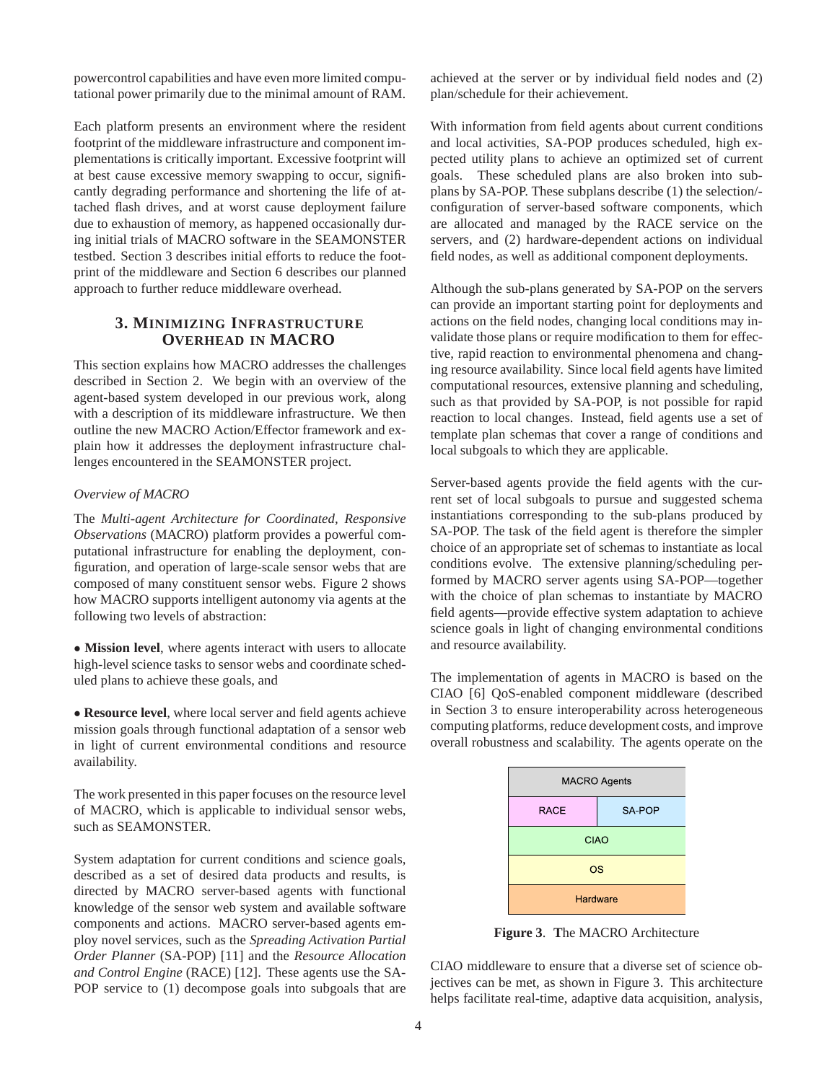powercontrol capabilities and have even more limited computational power primarily due to the minimal amount of RAM.

Each platform presents an environment where the resident footprint of the middleware infrastructure and component implementations is critically important. Excessive footprint will at best cause excessive memory swapping to occur, significantly degrading performance and shortening the life of attached flash drives, and at worst cause deployment failure due to exhaustion of memory, as happened occasionally during initial trials of MACRO software in the SEAMONSTER testbed. Section 3 describes initial efforts to reduce the footprint of the middleware and Section 6 describes our planned approach to further reduce middleware overhead.

# **3. MINIMIZING INFRASTRUCTURE OVERHEAD IN MACRO**

This section explains how MACRO addresses the challenges described in Section 2. We begin with an overview of the agent-based system developed in our previous work, along with a description of its middleware infrastructure. We then outline the new MACRO Action/Effector framework and explain how it addresses the deployment infrastructure challenges encountered in the SEAMONSTER project.

#### *Overview of MACRO*

The *Multi-agent Architecture for Coordinated, Responsive Observations* (MACRO) platform provides a powerful computational infrastructure for enabling the deployment, configuration, and operation of large-scale sensor webs that are composed of many constituent sensor webs. Figure 2 shows how MACRO supports intelligent autonomy via agents at the following two levels of abstraction:

• **Mission level**, where agents interact with users to allocate high-level science tasks to sensor webs and coordinate scheduled plans to achieve these goals, and

• **Resource level**, where local server and field agents achieve mission goals through functional adaptation of a sensor web in light of current environmental conditions and resource availability.

The work presented in this paper focuses on the resource level of MACRO, which is applicable to individual sensor webs, such as SEAMONSTER.

System adaptation for current conditions and science goals, described as a set of desired data products and results, is directed by MACRO server-based agents with functional knowledge of the sensor web system and available software components and actions. MACRO server-based agents employ novel services, such as the *Spreading Activation Partial Order Planner* (SA-POP) [11] and the *Resource Allocation and Control Engine* (RACE) [12]. These agents use the SA-POP service to (1) decompose goals into subgoals that are achieved at the server or by individual field nodes and (2) plan/schedule for their achievement.

With information from field agents about current conditions and local activities, SA-POP produces scheduled, high expected utility plans to achieve an optimized set of current goals. These scheduled plans are also broken into subplans by SA-POP. These subplans describe (1) the selection/ configuration of server-based software components, which are allocated and managed by the RACE service on the servers, and (2) hardware-dependent actions on individual field nodes, as well as additional component deployments.

Although the sub-plans generated by SA-POP on the servers can provide an important starting point for deployments and actions on the field nodes, changing local conditions may invalidate those plans or require modification to them for effective, rapid reaction to environmental phenomena and changing resource availability. Since local field agents have limited computational resources, extensive planning and scheduling, such as that provided by SA-POP, is not possible for rapid reaction to local changes. Instead, field agents use a set of template plan schemas that cover a range of conditions and local subgoals to which they are applicable.

Server-based agents provide the field agents with the current set of local subgoals to pursue and suggested schema instantiations corresponding to the sub-plans produced by SA-POP. The task of the field agent is therefore the simpler choice of an appropriate set of schemas to instantiate as local conditions evolve. The extensive planning/scheduling performed by MACRO server agents using SA-POP—together with the choice of plan schemas to instantiate by MACRO field agents—provide effective system adaptation to achieve science goals in light of changing environmental conditions and resource availability.

The implementation of agents in MACRO is based on the CIAO [6] QoS-enabled component middleware (described in Section 3 to ensure interoperability across heterogeneous computing platforms, reduce development costs, and improve overall robustness and scalability. The agents operate on the



**Figure 3**. **T**he MACRO Architecture

CIAO middleware to ensure that a diverse set of science objectives can be met, as shown in Figure 3. This architecture helps facilitate real-time, adaptive data acquisition, analysis,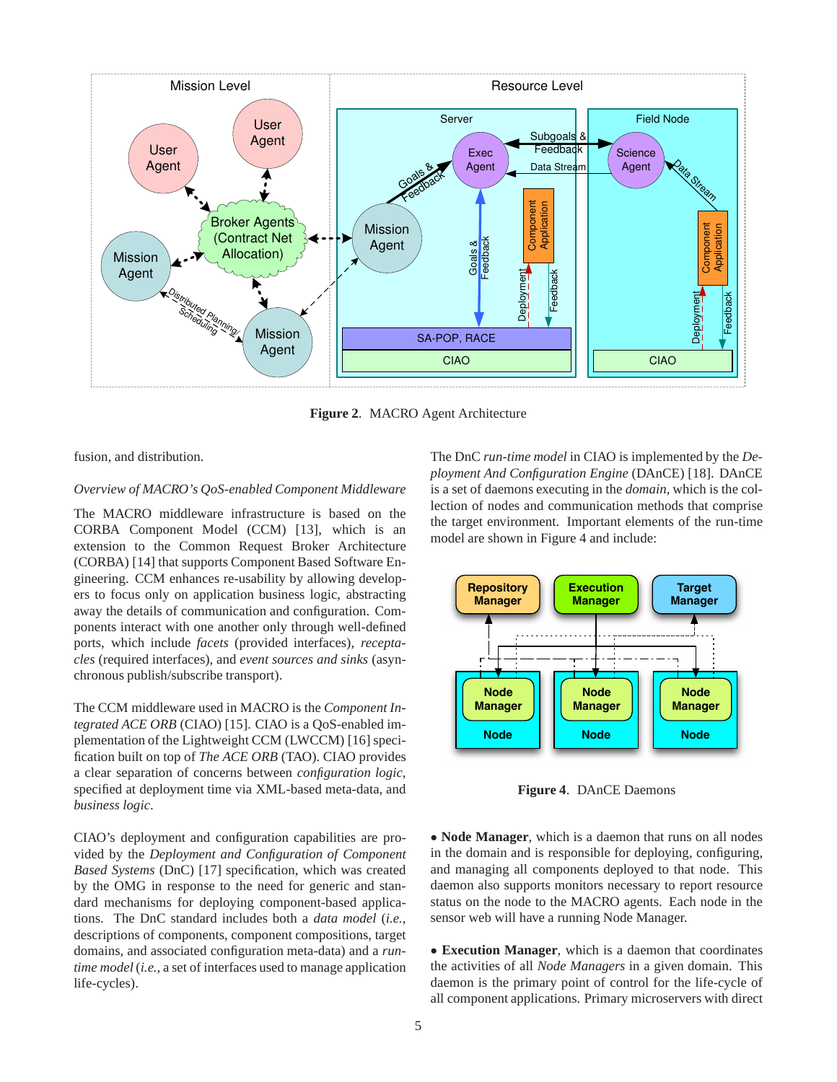

**Figure 2**. MACRO Agent Architecture

fusion, and distribution.

#### *Overview of MACRO's QoS-enabled Component Middleware*

The MACRO middleware infrastructure is based on the CORBA Component Model (CCM) [13], which is an extension to the Common Request Broker Architecture (CORBA) [14] that supports Component Based Software Engineering. CCM enhances re-usability by allowing developers to focus only on application business logic, abstracting away the details of communication and configuration. Components interact with one another only through well-defined ports, which include *facets* (provided interfaces), *receptacles* (required interfaces), and *event sources and sinks* (asynchronous publish/subscribe transport).

The CCM middleware used in MACRO is the *Component Integrated ACE ORB* (CIAO) [15]. CIAO is a QoS-enabled implementation of the Lightweight CCM (LWCCM) [16] specification built on top of *The ACE ORB* (TAO). CIAO provides a clear separation of concerns between *configuration logic*, specified at deployment time via XML-based meta-data, and *business logic*.

CIAO's deployment and configuration capabilities are provided by the *Deployment and Configuration of Component Based Systems* (DnC) [17] specification, which was created by the OMG in response to the need for generic and standard mechanisms for deploying component-based applications. The DnC standard includes both a *data model* (*i.e.*, descriptions of components, component compositions, target domains, and associated configuration meta-data) and a *runtime model* (*i.e.*, a set of interfaces used to manage application life-cycles).

The DnC *run-time model* in CIAO is implemented by the *Deployment And Configuration Engine* (DAnCE) [18]. DAnCE is a set of daemons executing in the *domain*, which is the collection of nodes and communication methods that comprise the target environment. Important elements of the run-time model are shown in Figure 4 and include:



**Figure 4**. DAnCE Daemons

• **Node Manager**, which is a daemon that runs on all nodes in the domain and is responsible for deploying, configuring, and managing all components deployed to that node. This daemon also supports monitors necessary to report resource status on the node to the MACRO agents. Each node in the sensor web will have a running Node Manager.

• **Execution Manager**, which is a daemon that coordinates the activities of all *Node Managers* in a given domain. This daemon is the primary point of control for the life-cycle of all component applications. Primary microservers with direct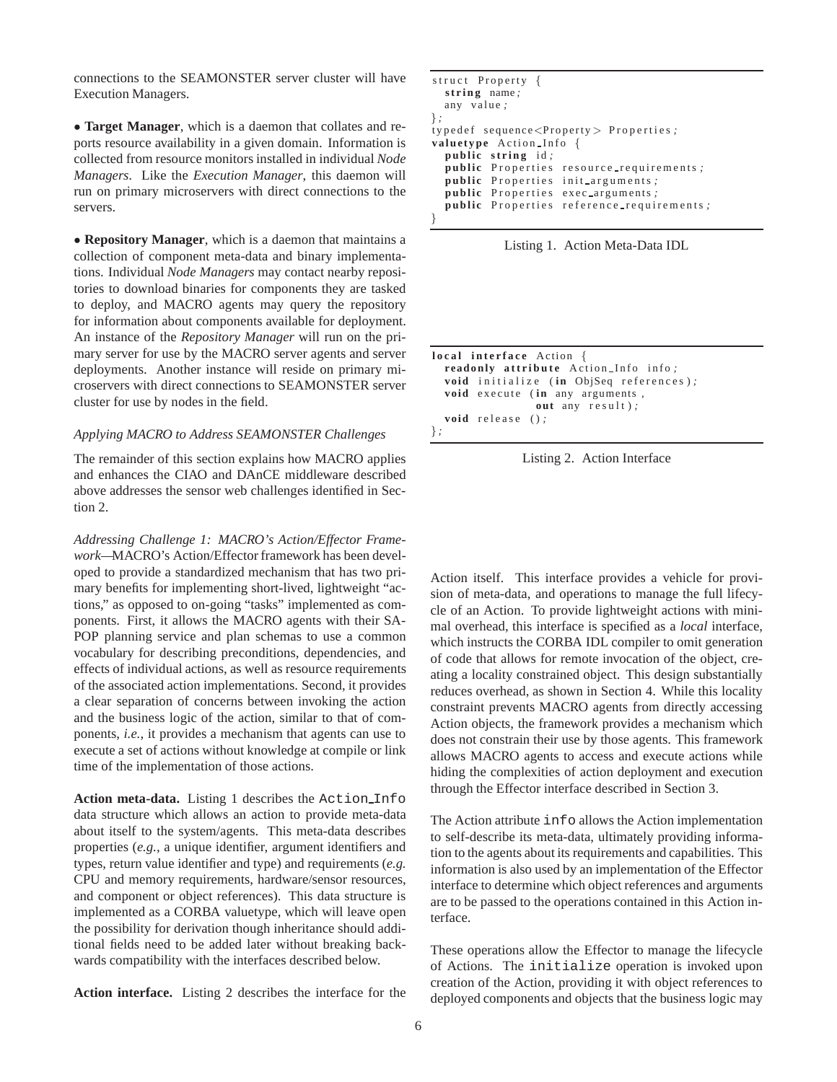connections to the SEAMONSTER server cluster will have Execution Managers.

• **Target Manager**, which is a daemon that collates and reports resource availability in a given domain. Information is collected from resource monitors installed in individual *Node Managers*. Like the *Execution Manager*, this daemon will run on primary microservers with direct connections to the servers.

• **Repository Manager**, which is a daemon that maintains a collection of component meta-data and binary implementations. Individual *Node Managers* may contact nearby repositories to download binaries for components they are tasked to deploy, and MACRO agents may query the repository for information about components available for deployment. An instance of the *Repository Manager* will run on the primary server for use by the MACRO server agents and server deployments. Another instance will reside on primary microservers with direct connections to SEAMONSTER server cluster for use by nodes in the field.

## *Applying MACRO to Address SEAMONSTER Challenges*

The remainder of this section explains how MACRO applies and enhances the CIAO and DAnCE middleware described above addresses the sensor web challenges identified in Section 2.

*Addressing Challenge 1: MACRO's Action/Effector Framework—*MACRO's Action/Effector framework has been developed to provide a standardized mechanism that has two primary benefits for implementing short-lived, lightweight "actions," as opposed to on-going "tasks" implemented as components. First, it allows the MACRO agents with their SA-POP planning service and plan schemas to use a common vocabulary for describing preconditions, dependencies, and effects of individual actions, as well as resource requirements of the associated action implementations. Second, it provides a clear separation of concerns between invoking the action and the business logic of the action, similar to that of components, *i.e.*, it provides a mechanism that agents can use to execute a set of actions without knowledge at compile or link time of the implementation of those actions.

**Action meta-data.** Listing 1 describes the Action Info data structure which allows an action to provide meta-data about itself to the system/agents. This meta-data describes properties (*e.g.*, a unique identifier, argument identifiers and types, return value identifier and type) and requirements (*e.g.* CPU and memory requirements, hardware/sensor resources, and component or object references). This data structure is implemented as a CORBA valuetype, which will leave open the possibility for derivation though inheritance should additional fields need to be added later without breaking backwards compatibility with the interfaces described below.

**Action interface.** Listing 2 describes the interface for the

```
struct Property {
  string name;
  any value :
} ;
typedef sequence<Property> Properties;
valuetype Action Info {
  public string id;
  public Properties resource requirements;
  public Properties init_arguments;
  public Properties exec_arguments;
  public Properties reference requirements;
}
```


|                                      | local interface Action $\{$             |  |  |  |  |
|--------------------------------------|-----------------------------------------|--|--|--|--|
| readonly attribute Action Info info; |                                         |  |  |  |  |
|                                      | void initialize (in ObjSeq references); |  |  |  |  |
|                                      | void execute (in any arguments,         |  |  |  |  |
|                                      | out any result);                        |  |  |  |  |
|                                      | <b>void</b> release $()$ ;              |  |  |  |  |
| $\}$ ;                               |                                         |  |  |  |  |



Action itself. This interface provides a vehicle for provision of meta-data, and operations to manage the full lifecycle of an Action. To provide lightweight actions with minimal overhead, this interface is specified as a *local* interface, which instructs the CORBA IDL compiler to omit generation of code that allows for remote invocation of the object, creating a locality constrained object. This design substantially reduces overhead, as shown in Section 4. While this locality constraint prevents MACRO agents from directly accessing Action objects, the framework provides a mechanism which does not constrain their use by those agents. This framework allows MACRO agents to access and execute actions while hiding the complexities of action deployment and execution through the Effector interface described in Section 3.

The Action attribute info allows the Action implementation to self-describe its meta-data, ultimately providing information to the agents about its requirements and capabilities. This information is also used by an implementation of the Effector interface to determine which object references and arguments are to be passed to the operations contained in this Action interface.

These operations allow the Effector to manage the lifecycle of Actions. The initialize operation is invoked upon creation of the Action, providing it with object references to deployed components and objects that the business logic may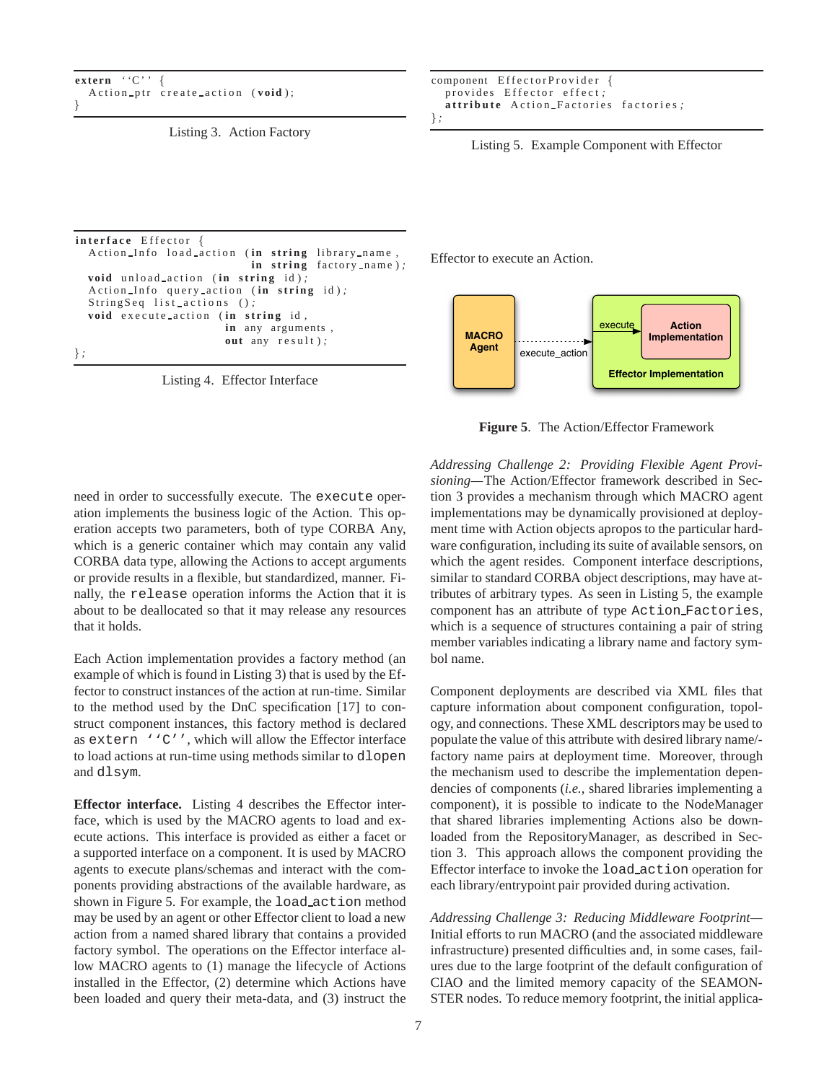```
extern 'C''
  Action ptr create action (void);
}
```
Listing 3. Action Factory

```
component EffectorProvider {
  provides Effector effect;
  attribute Action_Factories factories;
```
} *;*

Listing 5. Example Component with Effector

```
interface Effector {
  Action Info load action (in string library name,
                            in string factory name);
 void unload_action (in string id);
  Action Info query action (in string id);
  StringSeq list_actions ();
  void execute_action (in string id,
                       in any arguments ,
                       out any result);
} ;
```


Effector to execute an Action.



**Figure 5**. The Action/Effector Framework

need in order to successfully execute. The execute operation implements the business logic of the Action. This operation accepts two parameters, both of type CORBA Any, which is a generic container which may contain any valid CORBA data type, allowing the Actions to accept arguments or provide results in a flexible, but standardized, manner. Finally, the release operation informs the Action that it is about to be deallocated so that it may release any resources that it holds.

Each Action implementation provides a factory method (an example of which is found in Listing 3) that is used by the Effector to construct instances of the action at run-time. Similar to the method used by the DnC specification [17] to construct component instances, this factory method is declared as extern ''C'', which will allow the Effector interface to load actions at run-time using methods similar to dlopen and dlsym.

**Effector interface.** Listing 4 describes the Effector interface, which is used by the MACRO agents to load and execute actions. This interface is provided as either a facet or a supported interface on a component. It is used by MACRO agents to execute plans/schemas and interact with the components providing abstractions of the available hardware, as shown in Figure 5. For example, the load action method may be used by an agent or other Effector client to load a new action from a named shared library that contains a provided factory symbol. The operations on the Effector interface allow MACRO agents to (1) manage the lifecycle of Actions installed in the Effector, (2) determine which Actions have been loaded and query their meta-data, and (3) instruct the

*Addressing Challenge 2: Providing Flexible Agent Provisioning—*The Action/Effector framework described in Section 3 provides a mechanism through which MACRO agent implementations may be dynamically provisioned at deployment time with Action objects apropos to the particular hardware configuration, including its suite of available sensors, on which the agent resides. Component interface descriptions, similar to standard CORBA object descriptions, may have attributes of arbitrary types. As seen in Listing 5, the example component has an attribute of type Action Factories, which is a sequence of structures containing a pair of string member variables indicating a library name and factory symbol name.

Component deployments are described via XML files that capture information about component configuration, topology, and connections. These XML descriptors may be used to populate the value of this attribute with desired library name/ factory name pairs at deployment time. Moreover, through the mechanism used to describe the implementation dependencies of components (*i.e.*, shared libraries implementing a component), it is possible to indicate to the NodeManager that shared libraries implementing Actions also be downloaded from the RepositoryManager, as described in Section 3. This approach allows the component providing the Effector interface to invoke the load action operation for each library/entrypoint pair provided during activation.

*Addressing Challenge 3: Reducing Middleware Footprint—* Initial efforts to run MACRO (and the associated middleware infrastructure) presented difficulties and, in some cases, failures due to the large footprint of the default configuration of CIAO and the limited memory capacity of the SEAMON-STER nodes. To reduce memory footprint, the initial applica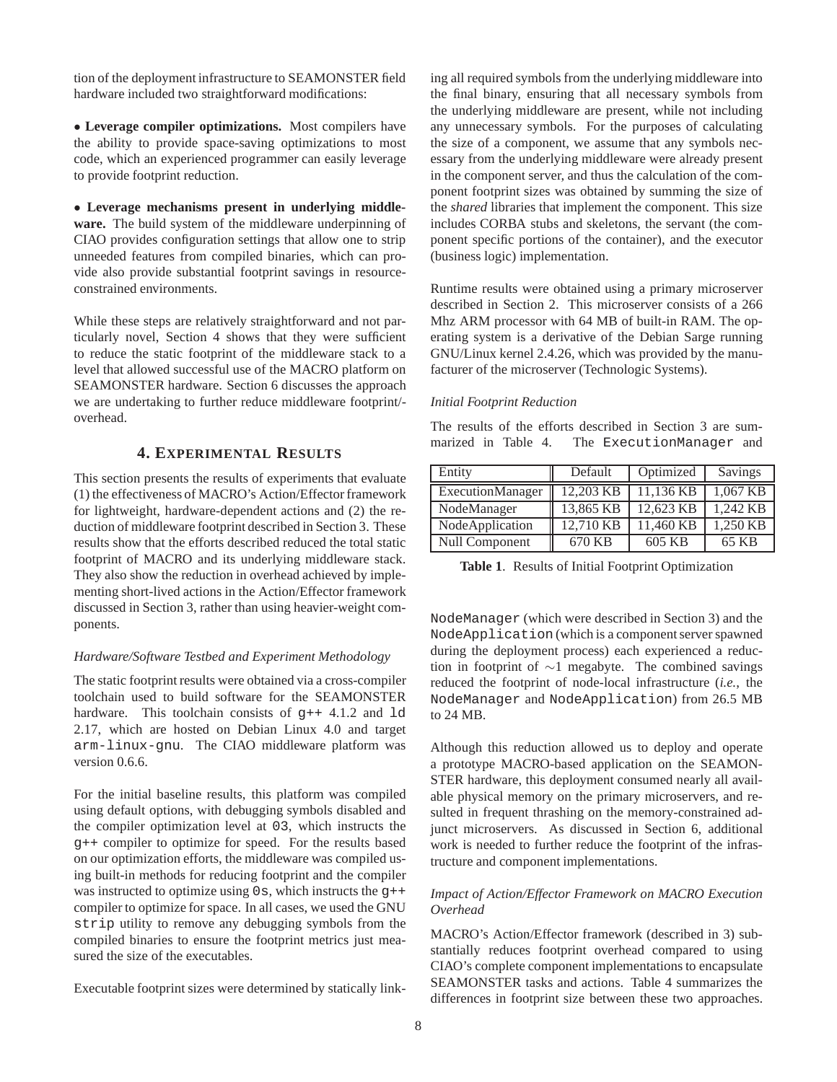tion of the deployment infrastructure to SEAMONSTER field hardware included two straightforward modifications:

• **Leverage compiler optimizations.** Most compilers have the ability to provide space-saving optimizations to most code, which an experienced programmer can easily leverage to provide footprint reduction.

• **Leverage mechanisms present in underlying middleware.** The build system of the middleware underpinning of CIAO provides configuration settings that allow one to strip unneeded features from compiled binaries, which can provide also provide substantial footprint savings in resourceconstrained environments.

While these steps are relatively straightforward and not particularly novel, Section 4 shows that they were sufficient to reduce the static footprint of the middleware stack to a level that allowed successful use of the MACRO platform on SEAMONSTER hardware. Section 6 discusses the approach we are undertaking to further reduce middleware footprint/ overhead.

# **4. EXPERIMENTAL RESULTS**

This section presents the results of experiments that evaluate (1) the effectiveness of MACRO's Action/Effector framework for lightweight, hardware-dependent actions and (2) the reduction of middleware footprint described in Section 3. These results show that the efforts described reduced the total static footprint of MACRO and its underlying middleware stack. They also show the reduction in overhead achieved by implementing short-lived actions in the Action/Effector framework discussed in Section 3, rather than using heavier-weight components.

# *Hardware/Software Testbed and Experiment Methodology*

The static footprint results were obtained via a cross-compiler toolchain used to build software for the SEAMONSTER hardware. This toolchain consists of  $q++4.1.2$  and 1d 2.17, which are hosted on Debian Linux 4.0 and target arm-linux-gnu. The CIAO middleware platform was version 0.6.6.

For the initial baseline results, this platform was compiled using default options, with debugging symbols disabled and the compiler optimization level at 03, which instructs the g++ compiler to optimize for speed. For the results based on our optimization efforts, the middleware was compiled using built-in methods for reducing footprint and the compiler was instructed to optimize using 0s, which instructs the g++ compiler to optimize for space. In all cases, we used the GNU strip utility to remove any debugging symbols from the compiled binaries to ensure the footprint metrics just measured the size of the executables.

Executable footprint sizes were determined by statically link-

ing all required symbols from the underlying middleware into the final binary, ensuring that all necessary symbols from the underlying middleware are present, while not including any unnecessary symbols. For the purposes of calculating the size of a component, we assume that any symbols necessary from the underlying middleware were already present in the component server, and thus the calculation of the component footprint sizes was obtained by summing the size of the *shared* libraries that implement the component. This size includes CORBA stubs and skeletons, the servant (the component specific portions of the container), and the executor (business logic) implementation.

Runtime results were obtained using a primary microserver described in Section 2. This microserver consists of a 266 Mhz ARM processor with 64 MB of built-in RAM. The operating system is a derivative of the Debian Sarge running GNU/Linux kernel 2.4.26, which was provided by the manufacturer of the microserver (Technologic Systems).

#### *Initial Footprint Reduction*

The results of the efforts described in Section 3 are sum-<br>marized in Table 4. The ExecutionManager and The ExecutionManager and

| Entity                  | Default   | Optimized | Savings  |
|-------------------------|-----------|-----------|----------|
| <b>ExecutionManager</b> | 12.203 KB | 11.136 KB | 1.067 KB |
| NodeManager             | 13,865 KB | 12.623 KB | 1.242 KB |
| NodeApplication         | 12,710 KB | 11.460 KB | 1.250 KB |
| Null Component          | 670 KB    | 605 KB    | 65 KB    |

| Table 1. Results of Initial Footprint Optimization |  |
|----------------------------------------------------|--|
|----------------------------------------------------|--|

NodeManager (which were described in Section 3) and the NodeApplication (which is a component server spawned during the deployment process) each experienced a reduction in footprint of ∼1 megabyte. The combined savings reduced the footprint of node-local infrastructure (*i.e.*, the NodeManager and NodeApplication) from 26.5 MB to 24 MB.

Although this reduction allowed us to deploy and operate a prototype MACRO-based application on the SEAMON-STER hardware, this deployment consumed nearly all available physical memory on the primary microservers, and resulted in frequent thrashing on the memory-constrained adjunct microservers. As discussed in Section 6, additional work is needed to further reduce the footprint of the infrastructure and component implementations.

# *Impact of Action/Effector Framework on MACRO Execution Overhead*

MACRO's Action/Effector framework (described in 3) substantially reduces footprint overhead compared to using CIAO's complete component implementations to encapsulate SEAMONSTER tasks and actions. Table 4 summarizes the differences in footprint size between these two approaches.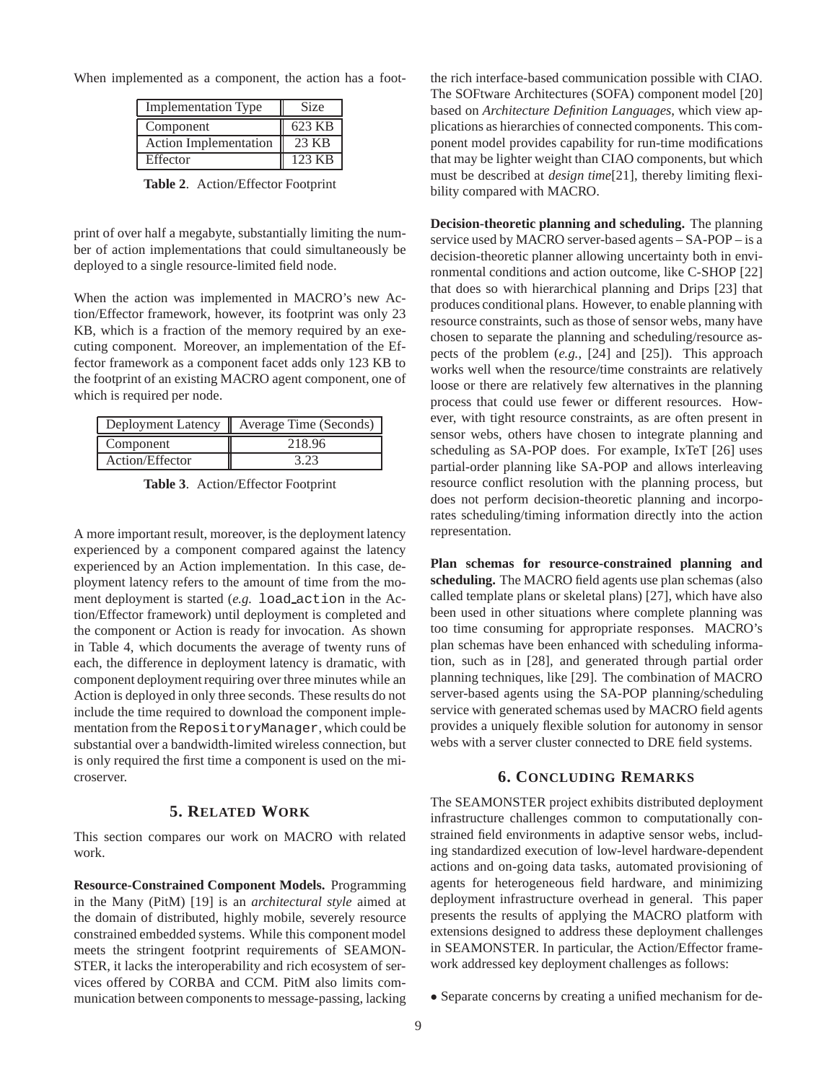When implemented as a component, the action has a foot-

| <b>Implementation Type</b>   | <b>Size</b> |
|------------------------------|-------------|
| Component                    | 623 KB      |
| <b>Action Implementation</b> | 23 KB       |
| Effector                     | 123 KB      |

**Table 2**. Action/Effector Footprint

print of over half a megabyte, substantially limiting the number of action implementations that could simultaneously be deployed to a single resource-limited field node.

When the action was implemented in MACRO's new Action/Effector framework, however, its footprint was only 23 KB, which is a fraction of the memory required by an executing component. Moreover, an implementation of the Effector framework as a component facet adds only 123 KB to the footprint of an existing MACRO agent component, one of which is required per node.

|                 | Deployment Latency    Average Time (Seconds) |
|-----------------|----------------------------------------------|
| Component       | 218.96                                       |
| Action/Effector | 3.23                                         |

**Table 3**. Action/Effector Footprint

A more important result, moreover, is the deployment latency experienced by a component compared against the latency experienced by an Action implementation. In this case, deployment latency refers to the amount of time from the moment deployment is started (*e.g.* load action in the Action/Effector framework) until deployment is completed and the component or Action is ready for invocation. As shown in Table 4, which documents the average of twenty runs of each, the difference in deployment latency is dramatic, with component deployment requiring over three minutes while an Action is deployed in only three seconds. These results do not include the time required to download the component implementation from the RepositoryManager, which could be substantial over a bandwidth-limited wireless connection, but is only required the first time a component is used on the microserver.

# **5. RELATED WORK**

This section compares our work on MACRO with related work.

**Resource-Constrained Component Models.** Programming in the Many (PitM) [19] is an *architectural style* aimed at the domain of distributed, highly mobile, severely resource constrained embedded systems. While this component model meets the stringent footprint requirements of SEAMON-STER, it lacks the interoperability and rich ecosystem of services offered by CORBA and CCM. PitM also limits communication between components to message-passing, lacking the rich interface-based communication possible with CIAO. The SOFtware Architectures (SOFA) component model [20] based on *Architecture Definition Languages*, which view applications as hierarchies of connected components. This component model provides capability for run-time modifications that may be lighter weight than CIAO components, but which must be described at *design time*[21], thereby limiting flexibility compared with MACRO.

**Decision-theoretic planning and scheduling.** The planning service used by MACRO server-based agents – SA-POP – is a decision-theoretic planner allowing uncertainty both in environmental conditions and action outcome, like C-SHOP [22] that does so with hierarchical planning and Drips [23] that produces conditional plans. However, to enable planning with resource constraints, such as those of sensor webs, many have chosen to separate the planning and scheduling/resource aspects of the problem (*e.g.*, [24] and [25]). This approach works well when the resource/time constraints are relatively loose or there are relatively few alternatives in the planning process that could use fewer or different resources. However, with tight resource constraints, as are often present in sensor webs, others have chosen to integrate planning and scheduling as SA-POP does. For example, IxTeT [26] uses partial-order planning like SA-POP and allows interleaving resource conflict resolution with the planning process, but does not perform decision-theoretic planning and incorporates scheduling/timing information directly into the action representation.

**Plan schemas for resource-constrained planning and scheduling.** The MACRO field agents use plan schemas (also called template plans or skeletal plans) [27], which have also been used in other situations where complete planning was too time consuming for appropriate responses. MACRO's plan schemas have been enhanced with scheduling information, such as in [28], and generated through partial order planning techniques, like [29]. The combination of MACRO server-based agents using the SA-POP planning/scheduling service with generated schemas used by MACRO field agents provides a uniquely flexible solution for autonomy in sensor webs with a server cluster connected to DRE field systems.

# **6. CONCLUDING REMARKS**

The SEAMONSTER project exhibits distributed deployment infrastructure challenges common to computationally constrained field environments in adaptive sensor webs, including standardized execution of low-level hardware-dependent actions and on-going data tasks, automated provisioning of agents for heterogeneous field hardware, and minimizing deployment infrastructure overhead in general. This paper presents the results of applying the MACRO platform with extensions designed to address these deployment challenges in SEAMONSTER. In particular, the Action/Effector framework addressed key deployment challenges as follows:

• Separate concerns by creating a unified mechanism for de-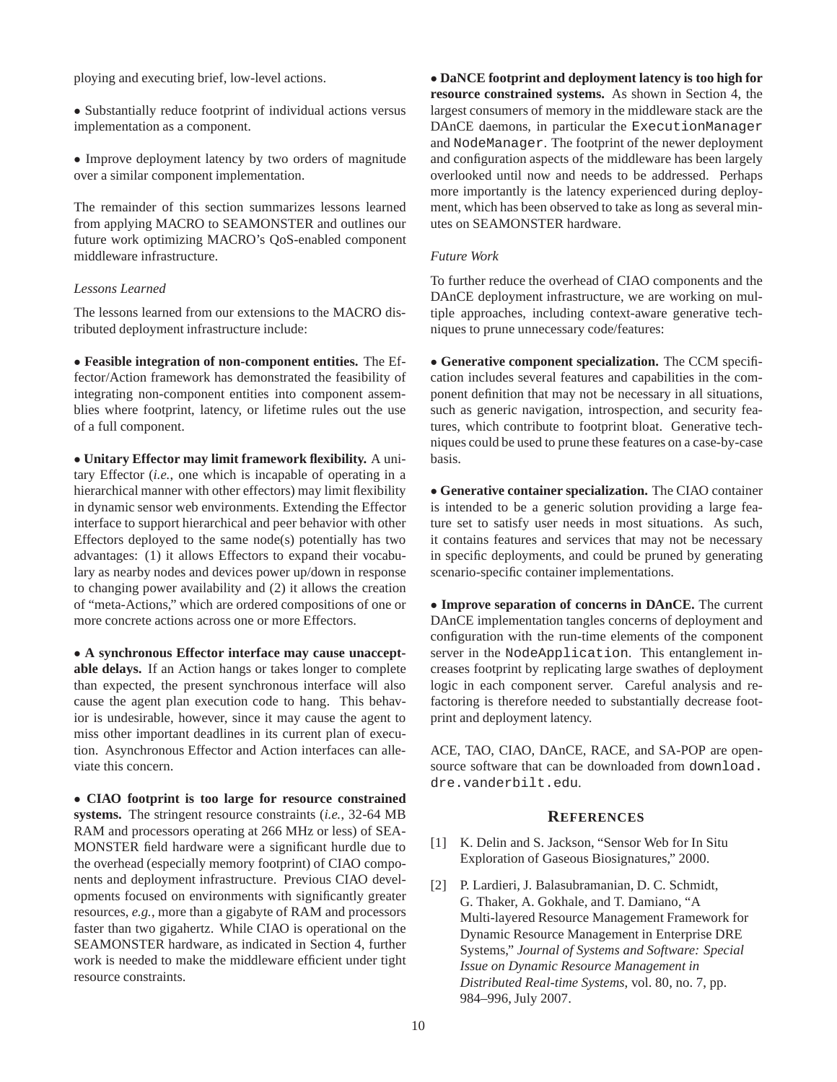ploying and executing brief, low-level actions.

• Substantially reduce footprint of individual actions versus implementation as a component.

• Improve deployment latency by two orders of magnitude over a similar component implementation.

The remainder of this section summarizes lessons learned from applying MACRO to SEAMONSTER and outlines our future work optimizing MACRO's QoS-enabled component middleware infrastructure.

#### *Lessons Learned*

The lessons learned from our extensions to the MACRO distributed deployment infrastructure include:

• **Feasible integration of non-component entities.** The Effector/Action framework has demonstrated the feasibility of integrating non-component entities into component assemblies where footprint, latency, or lifetime rules out the use of a full component.

• **Unitary Effector may limit framework flexibility.** A unitary Effector (*i.e.*, one which is incapable of operating in a hierarchical manner with other effectors) may limit flexibility in dynamic sensor web environments. Extending the Effector interface to support hierarchical and peer behavior with other Effectors deployed to the same node(s) potentially has two advantages: (1) it allows Effectors to expand their vocabulary as nearby nodes and devices power up/down in response to changing power availability and (2) it allows the creation of "meta-Actions," which are ordered compositions of one or more concrete actions across one or more Effectors.

• **A synchronous Effector interface may cause unacceptable delays.** If an Action hangs or takes longer to complete than expected, the present synchronous interface will also cause the agent plan execution code to hang. This behavior is undesirable, however, since it may cause the agent to miss other important deadlines in its current plan of execution. Asynchronous Effector and Action interfaces can alleviate this concern.

• **CIAO footprint is too large for resource constrained systems.** The stringent resource constraints (*i.e.*, 32-64 MB RAM and processors operating at 266 MHz or less) of SEA-MONSTER field hardware were a significant hurdle due to the overhead (especially memory footprint) of CIAO components and deployment infrastructure. Previous CIAO developments focused on environments with significantly greater resources, *e.g.*, more than a gigabyte of RAM and processors faster than two gigahertz. While CIAO is operational on the SEAMONSTER hardware, as indicated in Section 4, further work is needed to make the middleware efficient under tight resource constraints.

• **DaNCE footprint and deployment latency is too high for resource constrained systems.** As shown in Section 4, the largest consumers of memory in the middleware stack are the DAnCE daemons, in particular the ExecutionManager and NodeManager. The footprint of the newer deployment and configuration aspects of the middleware has been largely overlooked until now and needs to be addressed. Perhaps more importantly is the latency experienced during deployment, which has been observed to take as long as several minutes on SEAMONSTER hardware.

#### *Future Work*

To further reduce the overhead of CIAO components and the DAnCE deployment infrastructure, we are working on multiple approaches, including context-aware generative techniques to prune unnecessary code/features:

• **Generative component specialization.** The CCM specification includes several features and capabilities in the component definition that may not be necessary in all situations, such as generic navigation, introspection, and security features, which contribute to footprint bloat. Generative techniques could be used to prune these features on a case-by-case basis.

• **Generative container specialization.** The CIAO container is intended to be a generic solution providing a large feature set to satisfy user needs in most situations. As such, it contains features and services that may not be necessary in specific deployments, and could be pruned by generating scenario-specific container implementations.

• **Improve separation of concerns in DAnCE.** The current DAnCE implementation tangles concerns of deployment and configuration with the run-time elements of the component server in the NodeApplication. This entanglement increases footprint by replicating large swathes of deployment logic in each component server. Careful analysis and refactoring is therefore needed to substantially decrease footprint and deployment latency.

ACE, TAO, CIAO, DAnCE, RACE, and SA-POP are opensource software that can be downloaded from download. dre.vanderbilt.edu.

#### **REFERENCES**

- [1] K. Delin and S. Jackson, "Sensor Web for In Situ Exploration of Gaseous Biosignatures," 2000.
- [2] P. Lardieri, J. Balasubramanian, D. C. Schmidt, G. Thaker, A. Gokhale, and T. Damiano, "A Multi-layered Resource Management Framework for Dynamic Resource Management in Enterprise DRE Systems," *Journal of Systems and Software: Special Issue on Dynamic Resource Management in Distributed Real-time Systems*, vol. 80, no. 7, pp. 984–996, July 2007.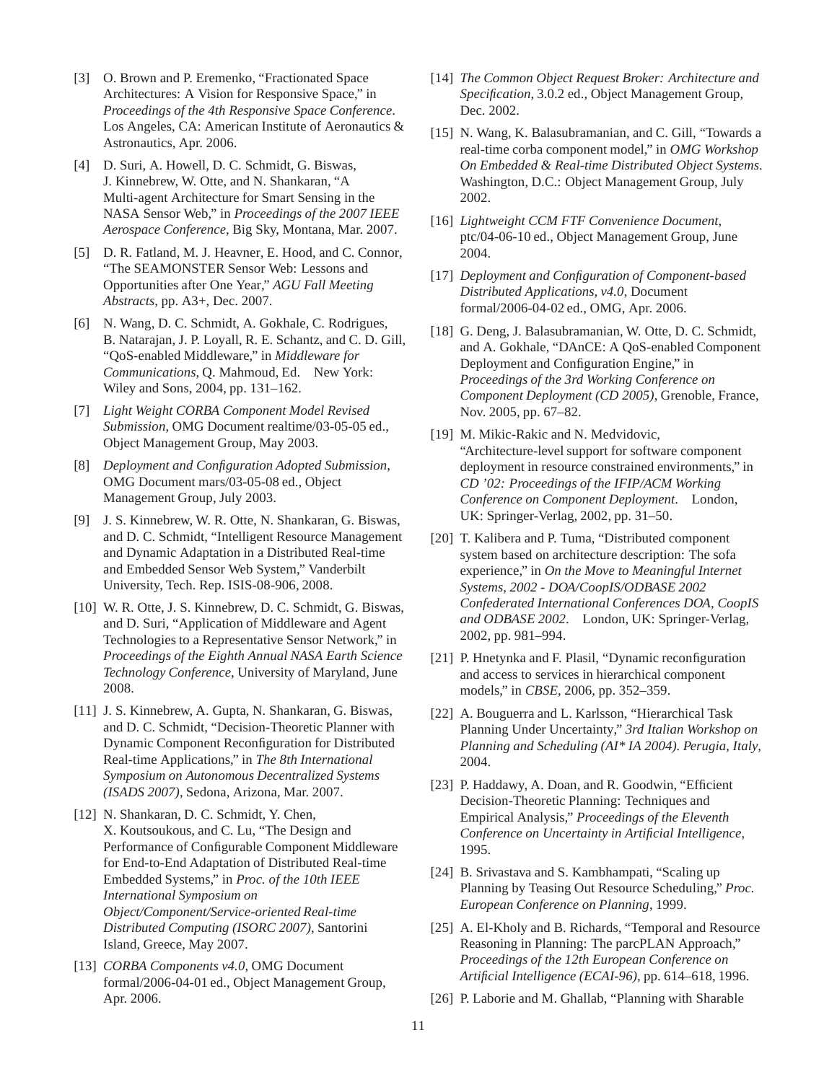- [3] O. Brown and P. Eremenko, "Fractionated Space" Architectures: A Vision for Responsive Space," in *Proceedings of the 4th Responsive Space Conference*. Los Angeles, CA: American Institute of Aeronautics & Astronautics, Apr. 2006.
- [4] D. Suri, A. Howell, D. C. Schmidt, G. Biswas, J. Kinnebrew, W. Otte, and N. Shankaran, "A Multi-agent Architecture for Smart Sensing in the NASA Sensor Web," in *Proceedings of the 2007 IEEE Aerospace Conference*, Big Sky, Montana, Mar. 2007.
- [5] D. R. Fatland, M. J. Heavner, E. Hood, and C. Connor, "The SEAMONSTER Sensor Web: Lessons and Opportunities after One Year," *AGU Fall Meeting Abstracts*, pp. A3+, Dec. 2007.
- [6] N. Wang, D. C. Schmidt, A. Gokhale, C. Rodrigues, B. Natarajan, J. P. Loyall, R. E. Schantz, and C. D. Gill, "QoS-enabled Middleware," in *Middleware for Communications*, Q. Mahmoud, Ed. New York: Wiley and Sons, 2004, pp. 131–162.
- [7] *Light Weight CORBA Component Model Revised Submission*, OMG Document realtime/03-05-05 ed., Object Management Group, May 2003.
- [8] *Deployment and Configuration Adopted Submission*, OMG Document mars/03-05-08 ed., Object Management Group, July 2003.
- [9] J. S. Kinnebrew, W. R. Otte, N. Shankaran, G. Biswas, and D. C. Schmidt, "Intelligent Resource Management and Dynamic Adaptation in a Distributed Real-time and Embedded Sensor Web System," Vanderbilt University, Tech. Rep. ISIS-08-906, 2008.
- [10] W. R. Otte, J. S. Kinnebrew, D. C. Schmidt, G. Biswas, and D. Suri, "Application of Middleware and Agent Technologies to a Representative Sensor Network," in *Proceedings of the Eighth Annual NASA Earth Science Technology Conference*, University of Maryland, June 2008.
- [11] J. S. Kinnebrew, A. Gupta, N. Shankaran, G. Biswas, and D. C. Schmidt, "Decision-Theoretic Planner with Dynamic Component Reconfiguration for Distributed Real-time Applications," in *The 8th International Symposium on Autonomous Decentralized Systems (ISADS 2007)*, Sedona, Arizona, Mar. 2007.
- [12] N. Shankaran, D. C. Schmidt, Y. Chen, X. Koutsoukous, and C. Lu, "The Design and Performance of Configurable Component Middleware for End-to-End Adaptation of Distributed Real-time Embedded Systems," in *Proc. of the 10th IEEE International Symposium on Object/Component/Service-oriented Real-time Distributed Computing (ISORC 2007)*, Santorini Island, Greece, May 2007.
- [13] *CORBA Components v4.0*, OMG Document formal/2006-04-01 ed., Object Management Group, Apr. 2006.
- [14] *The Common Object Request Broker: Architecture and Specification*, 3.0.2 ed., Object Management Group, Dec. 2002.
- [15] N. Wang, K. Balasubramanian, and C. Gill, "Towards a real-time corba component model," in *OMG Workshop On Embedded & Real-time Distributed Object Systems*. Washington, D.C.: Object Management Group, July 2002.
- [16] *Lightweight CCM FTF Convenience Document*, ptc/04-06-10 ed., Object Management Group, June 2004.
- [17] *Deployment and Configuration of Component-based Distributed Applications, v4.0*, Document formal/2006-04-02 ed., OMG, Apr. 2006.
- [18] G. Deng, J. Balasubramanian, W. Otte, D. C. Schmidt, and A. Gokhale, "DAnCE: A QoS-enabled Component Deployment and Configuration Engine," in *Proceedings of the 3rd Working Conference on Component Deployment (CD 2005)*, Grenoble, France, Nov. 2005, pp. 67–82.
- [19] M. Mikic-Rakic and N. Medvidovic, "Architecture-level support for software component deployment in resource constrained environments," in *CD '02: Proceedings of the IFIP/ACM Working Conference on Component Deployment*. London, UK: Springer-Verlag, 2002, pp. 31–50.
- [20] T. Kalibera and P. Tuma, "Distributed component" system based on architecture description: The sofa experience," in *On the Move to Meaningful Internet Systems, 2002 - DOA/CoopIS/ODBASE 2002 Confederated International Conferences DOA, CoopIS and ODBASE 2002*. London, UK: Springer-Verlag, 2002, pp. 981–994.
- [21] P. Hnetynka and F. Plasil, "Dynamic reconfiguration and access to services in hierarchical component models," in *CBSE*, 2006, pp. 352–359.
- [22] A. Bouguerra and L. Karlsson, "Hierarchical Task Planning Under Uncertainty," *3rd Italian Workshop on Planning and Scheduling (AI\* IA 2004). Perugia, Italy*, 2004.
- [23] P. Haddawy, A. Doan, and R. Goodwin, "Efficient" Decision-Theoretic Planning: Techniques and Empirical Analysis," *Proceedings of the Eleventh Conference on Uncertainty in Artificial Intelligence*, 1995.
- [24] B. Srivastava and S. Kambhampati, "Scaling up Planning by Teasing Out Resource Scheduling," *Proc. European Conference on Planning*, 1999.
- [25] A. El-Kholy and B. Richards, "Temporal and Resource Reasoning in Planning: The parcPLAN Approach," *Proceedings of the 12th European Conference on Artificial Intelligence (ECAI-96)*, pp. 614–618, 1996.
- [26] P. Laborie and M. Ghallab, "Planning with Sharable